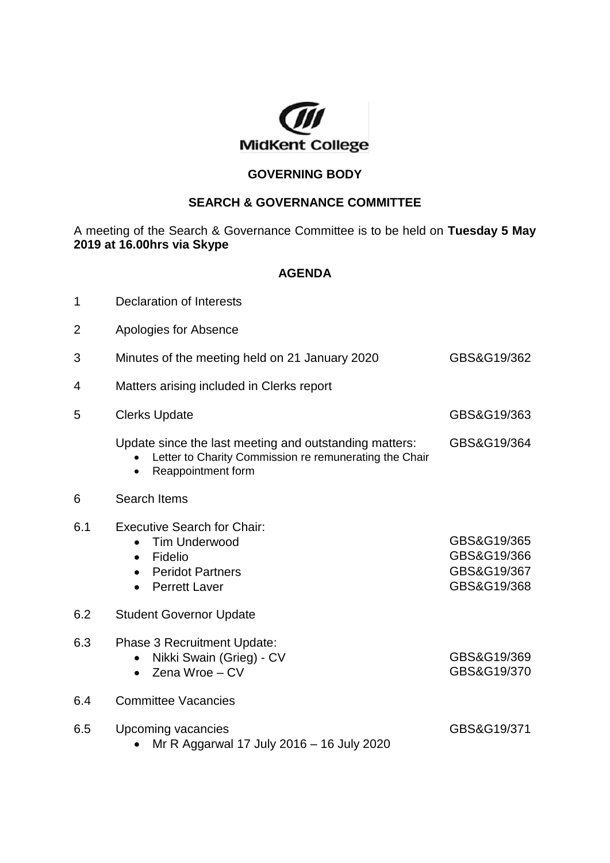

## **GOVERNING BODY**

## **SEARCH & GOVERNANCE COMMITTEE**

A meeting of the Search & Governance Committee is to be held on **Tuesday 5 May 2019 at 16.00hrs via Skype**

## **AGENDA**

| 1   | <b>Declaration of Interests</b>                                                                                                                    |                                                          |
|-----|----------------------------------------------------------------------------------------------------------------------------------------------------|----------------------------------------------------------|
| 2   | Apologies for Absence                                                                                                                              |                                                          |
| 3   | Minutes of the meeting held on 21 January 2020                                                                                                     | GBS&G19/362                                              |
| 4   | Matters arising included in Clerks report                                                                                                          |                                                          |
| 5   | <b>Clerks Update</b>                                                                                                                               | GBS&G19/363                                              |
|     | Update since the last meeting and outstanding matters:<br>Letter to Charity Commission re remunerating the Chair<br>Reappointment form             | GBS&G19/364                                              |
| 6   | Search Items                                                                                                                                       |                                                          |
| 6.1 | <b>Executive Search for Chair:</b><br><b>Tim Underwood</b><br>$\bullet$<br>Fidelio<br>$\bullet$<br><b>Peridot Partners</b><br><b>Perrett Laver</b> | GBS&G19/365<br>GBS&G19/366<br>GBS&G19/367<br>GBS&G19/368 |
| 6.2 | <b>Student Governor Update</b>                                                                                                                     |                                                          |
| 6.3 | Phase 3 Recruitment Update:<br>Nikki Swain (Grieg) - CV<br>Zena Wroe - CV                                                                          | GBS&G19/369<br>GBS&G19/370                               |
| 6.4 | <b>Committee Vacancies</b>                                                                                                                         |                                                          |
| 6.5 | Upcoming vacancies<br>Mr R Aggarwal 17 July 2016 - 16 July 2020                                                                                    | GBS&G19/371                                              |